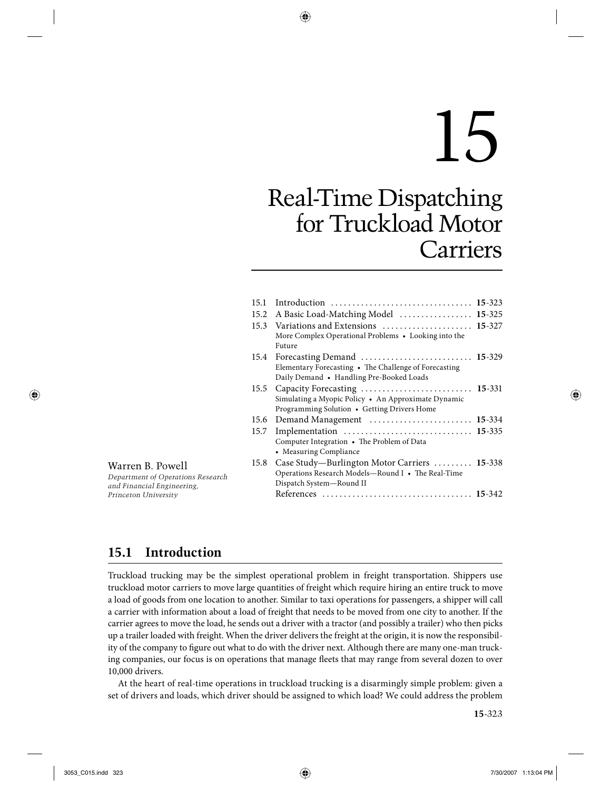# 15 Real-Time Dispatching for Truckload Motor Carriers

| 15.1 | Introduction                                                                                                                         | 15-323     |
|------|--------------------------------------------------------------------------------------------------------------------------------------|------------|
| 15.2 | A Basic Load-Matching Model                                                                                                          | $15 - 325$ |
| 15.3 | Variations and Extensions  15-327<br>More Complex Operational Problems • Looking into the<br>Future                                  |            |
|      | 15.4 Forecasting Demand  15-329<br>Elementary Forecasting • The Challenge of Forecasting<br>Daily Demand • Handling Pre-Booked Loads |            |
| 15.5 | Simulating a Myopic Policy • An Approximate Dynamic<br>Programming Solution • Getting Drivers Home                                   |            |
| 15.6 | Demand Management  15-334                                                                                                            |            |
| 15.7 | Implementation  15-335<br>Computer Integration • The Problem of Data<br>• Measuring Compliance                                       |            |
| 15.8 | Case Study—Burlington Motor Carriers  15-338<br>Operations Research Models-Round I • The Real-Time<br>Dispatch System-Round II       |            |
|      |                                                                                                                                      |            |

## Warren B. Powell

 $\bigoplus$ 

*Department of Operations Research and Financial Engineering, Princeton University*

# **15.1 Introduction**

Truckload trucking may be the simplest operational problem in freight transportation. Shippers use truckload motor carriers to move large quantities of freight which require hiring an entire truck to move a load of goods from one location to another. Similar to taxi operations for passengers, a shipper will call a carrier with information about a load of freight that needs to be moved from one city to another. If the carrier agrees to move the load, he sends out a driver with a tractor (and possibly a trailer) who then picks up a trailer loaded with freight. When the driver delivers the freight at the origin, it is now the responsibility of the company to figure out what to do with the driver next. Although there are many one-man trucking companies, our focus is on operations that manage fleets that may range from several dozen to over 10,000 drivers.

 $\bigoplus$ 

At the heart of real-time operations in truckload trucking is a disarmingly simple problem: given a set of drivers and loads, which driver should be assigned to which load? We could address the problem

**15**-323

 $\bigoplus$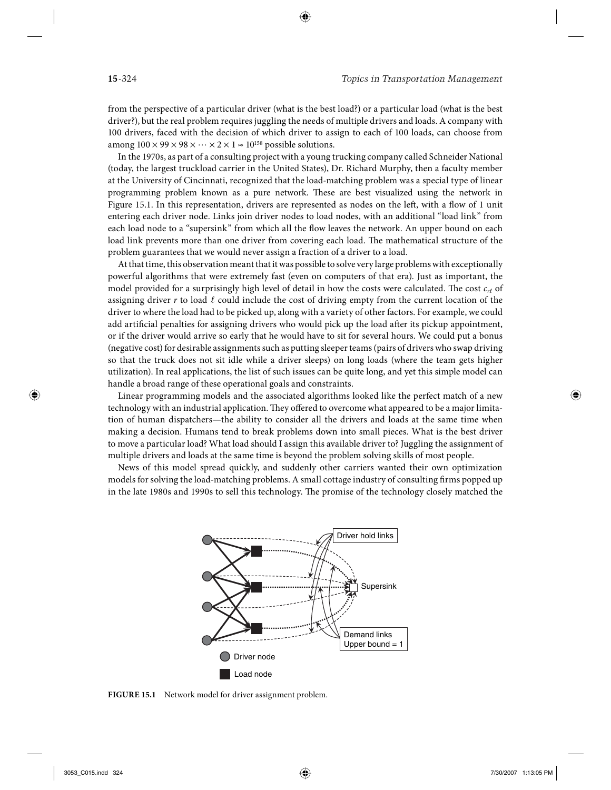from the perspective of a particular driver (what is the best load?) or a particular load (what is the best driver?), but the real problem requires juggling the needs of multiple drivers and loads. A company with 100 drivers, faced with the decision of which driver to assign to each of 100 loads, can choose from among  $100 \times 99 \times 98 \times \cdots \times 2 \times 1 \approx 10^{158}$  possible solutions.

⊕

In the 1970s, as part of a consulting project with a young trucking company called Schneider National (today, the largest truckload carrier in the United States), Dr. Richard Murphy, then a faculty member at the University of Cincinnati, recognized that the load-matching problem was a special type of linear programming problem known as a pure network. These are best visualized using the network in Figure 15.1. In this representation, drivers are represented as nodes on the left, with a flow of 1 unit entering each driver node. Links join driver nodes to load nodes, with an additional "load link" from each load node to a "supersink" from which all the flow leaves the network. An upper bound on each load link prevents more than one driver from covering each load. The mathematical structure of the problem guarantees that we would never assign a fraction of a driver to a load.

At that time, this observation meant that it was possible to solve very large problems with exceptionally powerful algorithms that were extremely fast (even on computers of that era). Just as important, the model provided for a surprisingly high level of detail in how the costs were calculated. The cost  $c_{rf}$  of assigning driver r to load  $\ell$  could include the cost of driving empty from the current location of the driver to where the load had to be picked up, along with a variety of other factors. For example, we could add artificial penalties for assigning drivers who would pick up the load after its pickup appointment, or if the driver would arrive so early that he would have to sit for several hours. We could put a bonus (negative cost) for desirable assignments such as putting sleeper teams (pairs of drivers who swap driving so that the truck does not sit idle while a driver sleeps) on long loads (where the team gets higher utilization). In real applications, the list of such issues can be quite long, and yet this simple model can handle a broad range of these operational goals and constraints.

Linear programming models and the associated algorithms looked like the perfect match of a new technology with an industrial application. They offered to overcome what appeared to be a major limitation of human dispatchers—the ability to consider all the drivers and loads at the same time when making a decision. Humans tend to break problems down into small pieces. What is the best driver to move a particular load? What load should I assign this available driver to? Juggling the assignment of multiple drivers and loads at the same time is beyond the problem solving skills of most people.

News of this model spread quickly, and suddenly other carriers wanted their own optimization models for solving the load-matching problems. A small cottage industry of consulting firms popped up in the late 1980s and 1990s to sell this technology. The promise of the technology closely matched the



**FIGURE 15.1** Network model for driver assignment problem.

⊕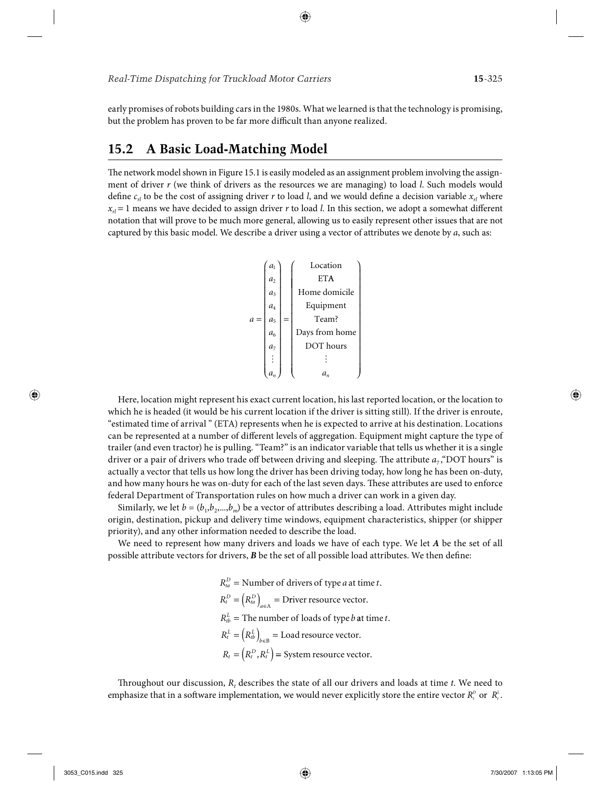early promises of robots building cars in the 1980s. What we learned is that the technology is promising, but the problem has proven to be far more difficult than anyone realized.

⊕

# **15.2 A Basic Load-Matching Model**

The network model shown in Figure 15.1 is easily modeled as an assignment problem involving the assignment of driver  $r$  (we think of drivers as the resources we are managing) to load  $l$ . Such models would define  $c_{rl}$  to be the cost of assigning driver r to load l, and we would define a decision variable  $x_{rl}$  where  $x_{rl}$  = 1 means we have decided to assign driver r to load l. In this section, we adopt a somewhat different notation that will prove to be much more general, allowing us to easily represent other issues that are not captured by this basic model. We describe a driver using a vector of attributes we denote by a, such as:

$$
a = \begin{pmatrix} a_1 \\ a_2 \\ a_3 \\ a_4 \\ a_5 \\ a_6 \\ a_7 \\ \vdots \\ a_n \end{pmatrix} = \begin{pmatrix} \text{Location} \\ \text{ETA} \\ \text{Home domicile} \\ \text{Equipment} \\ \text{Equipment} \\ \text{Team?} \\ \text{Days from home} \\ \text{DOT hours} \\ \vdots \\ \text{L} \\ \text{L} \\ \text{L} \\ \text{L} \\ \text{L} \\ \text{L} \\ \text{L} \\ \text{L} \\ \text{L} \\ \text{L} \\ \text{L} \\ \text{L} \\ \text{L} \\ \text{L} \\ \text{L} \\ \text{L} \\ \text{L} \\ \text{L} \\ \text{L} \\ \text{L} \\ \text{L} \\ \text{L} \\ \text{L} \\ \text{L} \\ \text{L} \\ \text{L} \\ \text{L} \\ \text{L} \\ \text{L} \\ \text{L} \\ \text{L} \\ \text{L} \\ \text{L} \\ \text{L} \\ \text{L} \\ \text{L} \\ \text{L} \\ \text{L} \\ \text{L} \\ \text{L} \\ \text{L} \\ \text{L} \\ \text{L} \\ \text{L} \\ \text{L} \\ \text{L} \\ \text{L} \\ \text{L} \\ \text{L} \\ \text{L} \\ \text{L} \\ \text{L} \\ \text{L} \\ \text{L} \\ \text{L} \\ \text{L} \\ \text{L} \\ \text{L} \\ \text{L} \\ \text{L} \\ \text{L} \\ \text{L} \\ \text{L} \\ \text{L} \\ \text{L} \\ \text{L} \\ \text{L} \\ \text{L} \\ \text{L} \\ \text{L} \\ \text{L} \\ \text{L} \\ \text{L} \\ \text{L} \\ \text{L} \\ \text{L} \\ \text{L} \\ \text{L} \\ \text{L} \\ \text{L} \\ \text{L} \\ \text{L} \\ \text{L} \\ \text{L} \\ \text{L} \\ \text{L} \\ \text{L} \\ \text{L} \\ \text{L} \\ \text{L} \\ \text{L} \\ \text{L} \\ \text{L} \\ \text{L} \\ \text{L} \\ \text{L} \\ \text{L} \\ \text{L} \\ \text{L} \\ \text{L} \\ \text{L} \\ \text{L} \\ \text{L} \\ \text{L} \\ \text{L} \\ \text{L} \\ \text{
$$

Here, location might represent his exact current location, his last reported location, or the location to which he is headed (it would be his current location if the driver is sitting still). If the driver is enroute, "estimated time of arrival " (ETA) represents when he is expected to arrive at his destination. Locations can be represented at a number of different levels of aggregation. Equipment might capture the type of trailer (and even tractor) he is pulling. "Team?" is an indicator variable that tells us whether it is a single driver or a pair of drivers who trade off between driving and sleeping. The attribute  $a_7$ , "DOT hours" is actually a vector that tells us how long the driver has been driving today, how long he has been on-duty, and how many hours he was on-duty for each of the last seven days. These attributes are used to enforce federal Department of Transportation rules on how much a driver can work in a given day.

Similarly, we let  $b = (b_1, b_2, ..., b_m)$  be a vector of attributes describing a load. Attributes might include origin, destination, pickup and delivery time windows, equipment characteristics, shipper (or shipper priority), and any other information needed to describe the load.

We need to represent how many drivers and loads we have of each type. We let **A** be the set of all possible attribute vectors for drivers, **B** be the set of all possible load attributes. We then define:

> $R_{ta}^D$  = Number of drivers of type *a* at time *t*.  $R_t^D = \left(R_{ta}^D\right)$  $=\left(R^D_{ta}\right)_{a\in A}$  = Driver resource vector.  $R_{tb}^L$  = The number of loads of type *b* at time *t*.  $R_t^L = \left(R_{tb}^L\right)_{b \in B} =$  Load resource vector.  $R_t = (R_t^D, R_t^L)$  = System resource vector.  $=\left(R^L_{tb}\right)_{b\in B}=$

Throughout our discussion,  $R_t$  describes the state of all our drivers and loads at time t. We need to emphasize that in a software implementation, we would never explicitly store the entire vector  $R_t^p$  or  $R_t^L$ .

 $\bigoplus$ 

 $\bigoplus$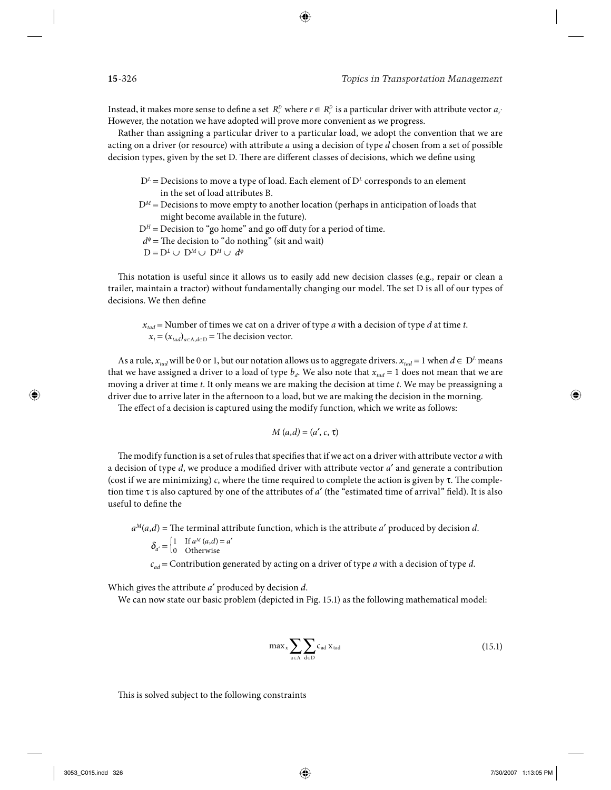Instead, it makes more sense to define a set  $R_t^p$  where  $r \in R_t^p$  is a particular driver with attribute vector  $a_r$ However, the notation we have adopted will prove more convenient as we progress.

⊕

Rather than assigning a particular driver to a particular load, we adopt the convention that we are acting on a driver (or resource) with attribute a using a decision of type d chosen from a set of possible decision types, given by the set D. There are different classes of decisions, which we define using

- $D<sup>L</sup>$  = Decisions to move a type of load. Each element of  $D<sup>L</sup>$  corresponds to an element in the set of load attributes B.
- $D^M$  = Decisions to move empty to another location (perhaps in anticipation of loads that might become available in the future).
- $D<sup>H</sup>$  = Decision to "go home" and go off duty for a period of time.
- $d^{\phi}$  = The decision to "do nothing" (sit and wait)
- $D = D^L \cup D^M \cup D^H \cup d^{\phi}$

This notation is useful since it allows us to easily add new decision classes (e.g., repair or clean a trailer, maintain a tractor) without fundamentally changing our model. The set D is all of our types of decisions. We then define

 $x_{tad}$  = Number of times we cat on a driver of type *a* with a decision of type *d* at time *t*.  $x_t = (x_{tad})_{a \in A, d \in D}$  = The decision vector.

As a rule,  $x_{tad}$  will be 0 or 1, but our notation allows us to aggregate drivers.  $x_{tad} = 1$  when  $d \in D^L$  means that we have assigned a driver to a load of type  $b_d$ . We also note that  $x_{tad} = 1$  does not mean that we are moving a driver at time  $t$ . It only means we are making the decision at time  $t$ . We may be preassigning a driver due to arrive later in the afternoon to a load, but we are making the decision in the morning.

The effect of a decision is captured using the modify function, which we write as follows:

$$
M(a,d) = (a', c, \tau)
$$

The modify function is a set of rules that specifies that if we act on a driver with attribute vector a with a decision of type d, we produce a modified driver with attribute vector  $a'$  and generate a contribution (cost if we are minimizing) c, where the time required to complete the action is given by  $\tau$ . The completion time  $\tau$  is also captured by one of the attributes of a' (the "estimated time of arrival" field). It is also useful to define the

 $a^M(a,d)$  = The terminal attribute function, which is the attribute a' produced by decision d.

 $\delta_{a'} = \begin{cases} 1 & \text{If } a^M(a,d) = a' \\ 0 & \text{Otherwise} \end{cases}$ 

 $c_{ad}$  = Contribution generated by acting on a driver of type *a* with a decision of type *d*.

Which gives the attribute a' produced by decision d.

We can now state our basic problem (depicted in Fig. 15.1) as the following mathematical model:

$$
\max_{\mathbf{x}} \sum_{\mathbf{a} \in \mathbf{A}} \sum_{\mathbf{d} \in \mathbf{D}} c_{\mathbf{ad}} \mathbf{x}_{\mathbf{tad}} \tag{15.1}
$$

This is solved subject to the following constraints

⊕

3053\_C015.indd 326 7/30/2007 1:13:05 PM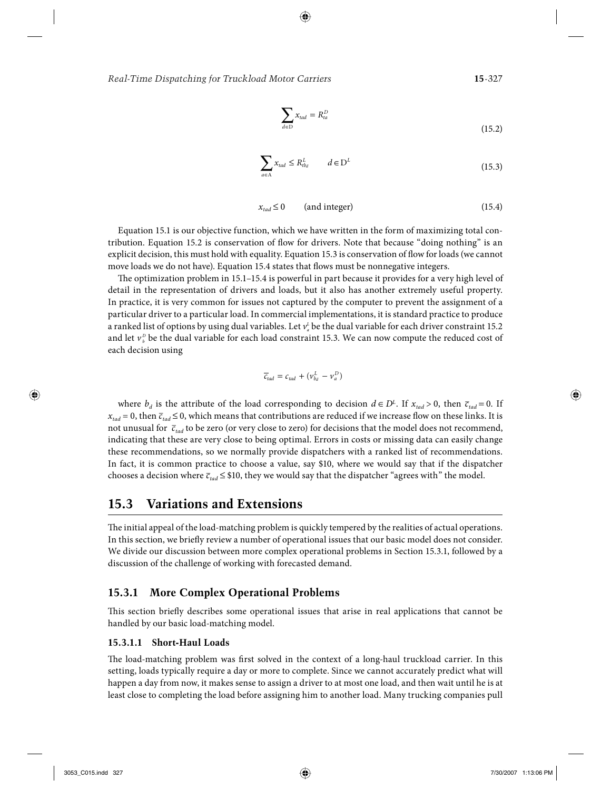*Real-Time Dispatching for Truckload Motor Carriers* 

$$
\sum_{d \in D} x_{tad} = R_a^D \tag{15.2}
$$

$$
\sum_{a \in A} x_{tad} \le R_{tbd}^L \qquad d \in D^L \tag{15.3}
$$

$$
x_{tad} \le 0 \qquad \text{(and integer)} \tag{15.4}
$$

Equation 15.1 is our objective function, which we have written in the form of maximizing total contribution. Equation 15.2 is conservation of flow for drivers. Note that because "doing nothing" is an explicit decision, this must hold with equality. Equation 15.3 is conservation of flow for loads (we cannot move loads we do not have). Equation 15.4 states that flows must be nonnegative integers.

⊕

The optimization problem in 15.1–15.4 is powerful in part because it provides for a very high level of detail in the representation of drivers and loads, but it also has another extremely useful property. In practice, it is very common for issues not captured by the computer to prevent the assignment of a particular driver to a particular load. In commercial implementations, it is standard practice to produce a ranked list of options by using dual variables. Let  $v_a^L$  be the dual variable for each driver constraint 15.2 and let  $v_{b}^{D}$  be the dual variable for each load constraint 15.3. We can now compute the reduced cost of each decision using

$$
\overline{c}_{tad} = c_{tad} + (v_{bd}^L - v_a^D)
$$

where  $b_d$  is the attribute of the load corresponding to decision  $d \in D^L$ . If  $x_{tad} > 0$ , then  $\bar{c}_{tad} = 0$ . If  $x_{tad} = 0$ , then  $\bar{c}_{tad} \le 0$ , which means that contributions are reduced if we increase flow on these links. It is not unusual for  $\bar{\tau}_{\text{rad}}$  to be zero (or very close to zero) for decisions that the model does not recommend, indicating that these are very close to being optimal. Errors in costs or missing data can easily change these recommendations, so we normally provide dispatchers with a ranked list of recommendations. In fact, it is common practice to choose a value, say \$10, where we would say that if the dispatcher chooses a decision where  $\bar{c}_{tad} \leq $10$ , they we would say that the dispatcher "agrees with" the model.

# **15.3 Variations and Extensions**

The initial appeal of the load-matching problem is quickly tempered by the realities of actual operations. In this section, we briefly review a number of operational issues that our basic model does not consider. We divide our discussion between more complex operational problems in Section 15.3.1, followed by a discussion of the challenge of working with forecasted demand.

## **15.3.1 More Complex Operational Problems**

This section briefly describes some operational issues that arise in real applications that cannot be handled by our basic load-matching model.

## **15.3.1.1 Short-Haul Loads**

The load-matching problem was first solved in the context of a long-haul truckload carrier. In this setting, loads typically require a day or more to complete. Since we cannot accurately predict what will happen a day from now, it makes sense to assign a driver to at most one load, and then wait until he is at least close to completing the load before assigning him to another load. Many trucking companies pull

 $\bigoplus$ 

$$
15-327
$$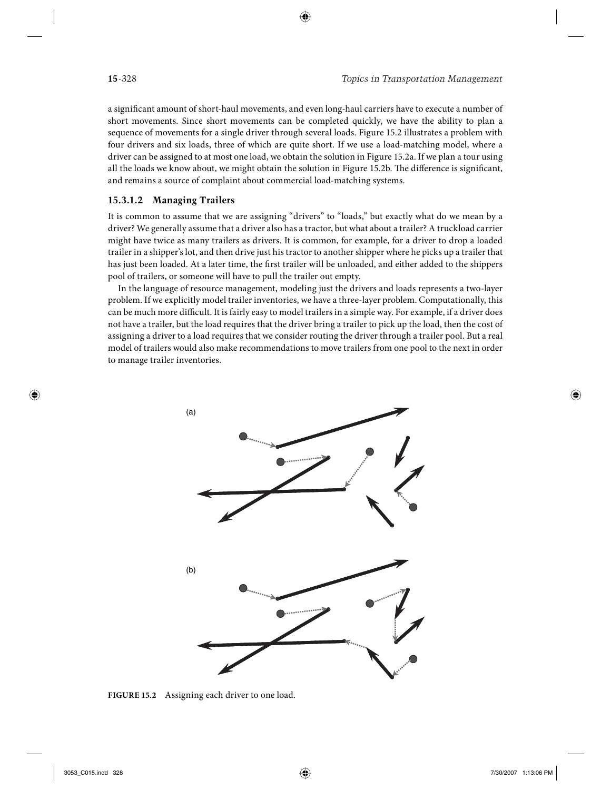a significant amount of short-haul movements, and even long-haul carriers have to execute a number of short movements. Since short movements can be completed quickly, we have the ability to plan a sequence of movements for a single driver through several loads. Figure 15.2 illustrates a problem with four drivers and six loads, three of which are quite short. If we use a load-matching model, where a driver can be assigned to at most one load, we obtain the solution in Figure 15.2a. If we plan a tour using all the loads we know about, we might obtain the solution in Figure 15.2b. The difference is significant, and remains a source of complaint about commercial load-matching systems.

 $\bigcirc$ 

## **15.3.1.2 Managing Trailers**

It is common to assume that we are assigning "drivers" to "loads," but exactly what do we mean by a driver? We generally assume that a driver also has a tractor, but what about a trailer? A truckload carrier might have twice as many trailers as drivers. It is common, for example, for a driver to drop a loaded trailer in a shipper's lot, and then drive just his tractor to another shipper where he picks up a trailer that has just been loaded. At a later time, the first trailer will be unloaded, and either added to the shippers pool of trailers, or someone will have to pull the trailer out empty.

In the language of resource management, modeling just the drivers and loads represents a two-layer problem. If we explicitly model trailer inventories, we have a three-layer problem. Computationally, this can be much more difficult. It is fairly easy to model trailers in a simple way. For example, if a driver does not have a trailer, but the load requires that the driver bring a trailer to pick up the load, then the cost of assigning a driver to a load requires that we consider routing the driver through a trailer pool. But a real model of trailers would also make recommendations to move trailers from one pool to the next in order to manage trailer inventories.



**FIGURE 15.2** Assigning each driver to one load.

 $\bigoplus$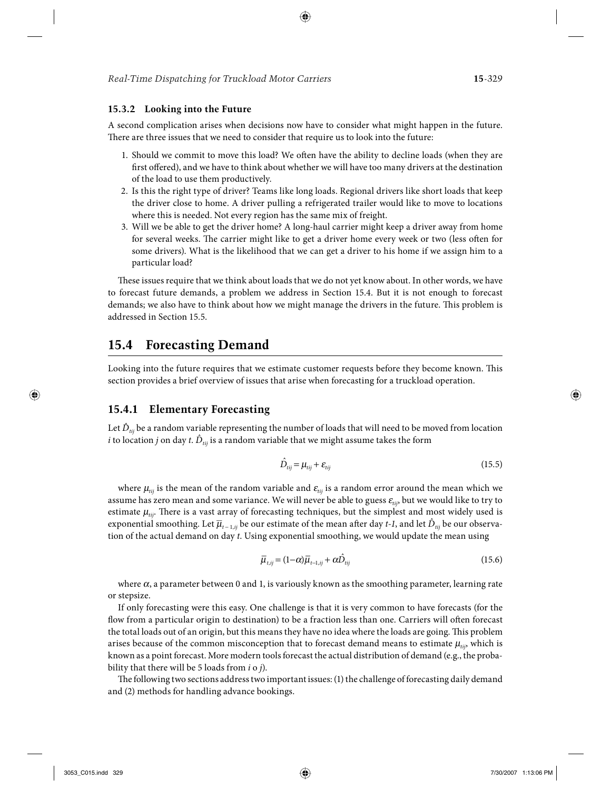#### **15.3.2 Looking into the Future**

A second complication arises when decisions now have to consider what might happen in the future. There are three issues that we need to consider that require us to look into the future:

⊕

- 1. Should we commit to move this load? We often have the ability to decline loads (when they are first offered), and we have to think about whether we will have too many drivers at the destination of the load to use them productively.
- 2. Is this the right type of driver? Teams like long loads. Regional drivers like short loads that keep the driver close to home. A driver pulling a refrigerated trailer would like to move to locations where this is needed. Not every region has the same mix of freight.
- 3. Will we be able to get the driver home? A long-haul carrier might keep a driver away from home for several weeks. The carrier might like to get a driver home every week or two (less often for some drivers). What is the likelihood that we can get a driver to his home if we assign him to a particular load?

These issues require that we think about loads that we do not yet know about. In other words, we have to forecast future demands, a problem we address in Section 15.4. But it is not enough to forecast demands; we also have to think about how we might manage the drivers in the future. This problem is addressed in Section 15.5.

# **15.4 Forecasting Demand**

Looking into the future requires that we estimate customer requests before they become known. This section provides a brief overview of issues that arise when forecasting for a truckload operation.

## **15.4.1 Elementary Forecasting**

Let  $\hat{D}_{tii}$  be a random variable representing the number of loads that will need to be moved from location  $i$  to location  $j$  on day  $t$ .  $\hat{D}_{tii}$  is a random variable that we might assume takes the form

$$
\hat{D}_{tij} = \mu_{tij} + \varepsilon_{tij} \tag{15.5}
$$

where  $\mu_{\text{tri}}$  is the mean of the random variable and  $\varepsilon_{\text{tri}}$  is a random error around the mean which we assume has zero mean and some variance. We will never be able to guess  $\varepsilon_{\text{tii}}$ , but we would like to try to estimate  $\mu_{\text{tii}}$ . There is a vast array of forecasting techniques, but the simplest and most widely used is exponential smoothing. Let  $\overline{\mu}_{t-1,ij}$  be our estimate of the mean after day t-1, and let  $\hat{D}_{tij}$  be our observation of the actual demand on day t. Using exponential smoothing, we would update the mean using

$$
\overline{\mu}_{t,ij} = (1-\alpha)\overline{\mu}_{t-1,ij} + \alpha \hat{D}_{tij}
$$
\n(15.6)

where  $\alpha$ , a parameter between 0 and 1, is variously known as the smoothing parameter, learning rate or stepsize.

If only forecasting were this easy. One challenge is that it is very common to have forecasts (for the flow from a particular origin to destination) to be a fraction less than one. Carriers will often forecast the total loads out of an origin, but this means they have no idea where the loads are going. This problem arises because of the common misconception that to forecast demand means to estimate  $\mu_{\text{t}}$ , which is known as a point forecast. More modern tools forecast the actual distribution of demand (e.g., the probability that there will be 5 loads from  $i \circ j$ .

The following two sections address two important issues: (1) the challenge of forecasting daily demand and (2) methods for handling advance bookings.

⊕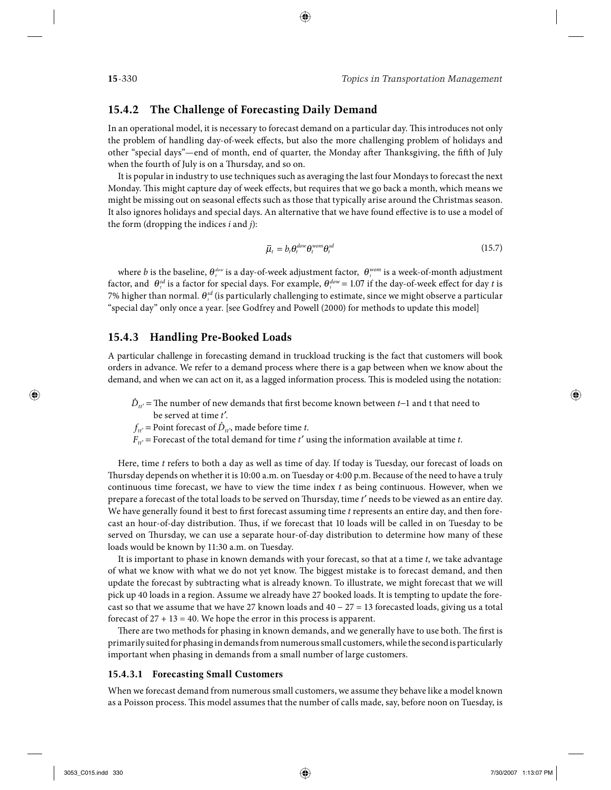## **15.4.2 The Challenge of Forecasting Daily Demand**

In an operational model, it is necessary to forecast demand on a particular day. This introduces not only the problem of handling day-of-week effects, but also the more challenging problem of holidays and other "special days"—end of month, end of quarter, the Monday after Thanksgiving, the fifth of July when the fourth of July is on a Thursday, and so on.

⊕

It is popular in industry to use techniques such as averaging the last four Mondays to forecast the next Monday. This might capture day of week effects, but requires that we go back a month, which means we might be missing out on seasonal effects such as those that typically arise around the Christmas season. It also ignores holidays and special days. An alternative that we have found effective is to use a model of the form (dropping the indices  $i$  and  $j$ ):

$$
\overline{\mu}_t = b_t \theta_t^{down} \theta_t^{wom} \theta_t^{sd} \tag{15.7}
$$

where b is the baseline,  $\theta_t^{down}$  is a day-of-week adjustment factor,  $\theta_t^{wom}$  is a week-of-month adjustment factor, and  $\theta_t^{sd}$  is a factor for special days. For example,  $\theta_t^{dow} = 1.07$  if the day-of-week effect for day t is 7% higher than normal.  $\theta_t^{sd}$  (is particularly challenging to estimate, since we might observe a particular "special day" only once a year. [see Godfrey and Powell (2000) for methods to update this model]

## **15.4.3 Handling Pre-Booked Loads**

A particular challenge in forecasting demand in truckload trucking is the fact that customers will book orders in advance. We refer to a demand process where there is a gap between when we know about the demand, and when we can act on it, as a lagged information process. This is modeled using the notation:

- $\hat{D}_{tt'}$  = The number of new demands that first become known between t–1 and t that need to be served at time t′.
- $f_{tt'}$  = Point forecast of  $\hat{D}_{tt'}$ , made before time *t*.
	- $F_{tt'}$  = Forecast of the total demand for time t' using the information available at time t.

Here, time t refers to both a day as well as time of day. If today is Tuesday, our forecast of loads on Thursday depends on whether it is 10:00 a.m. on Tuesday or 4:00 p.m. Because of the need to have a truly continuous time forecast, we have to view the time index  $t$  as being continuous. However, when we prepare a forecast of the total loads to be served on Thursday, time t' needs to be viewed as an entire day. We have generally found it best to first forecast assuming time  $t$  represents an entire day, and then forecast an hour-of-day distribution. Thus, if we forecast that 10 loads will be called in on Tuesday to be served on Thursday, we can use a separate hour-of-day distribution to determine how many of these loads would be known by 11:30 a.m. on Tuesday.

It is important to phase in known demands with your forecast, so that at a time t, we take advantage of what we know with what we do not yet know. The biggest mistake is to forecast demand, and then update the forecast by subtracting what is already known. To illustrate, we might forecast that we will pick up 40 loads in a region. Assume we already have 27 booked loads. It is tempting to update the forecast so that we assume that we have 27 known loads and  $40 - 27 = 13$  forecasted loads, giving us a total forecast of  $27 + 13 = 40$ . We hope the error in this process is apparent.

There are two methods for phasing in known demands, and we generally have to use both. The first is primarily suited for phasing in demands from numerous small customers, while the second is particularly important when phasing in demands from a small number of large customers.

## **15.4.3.1 Forecasting Small Customers**

When we forecast demand from numerous small customers, we assume they behave like a model known as a Poisson process. This model assumes that the number of calls made, say, before noon on Tuesday, is

⊕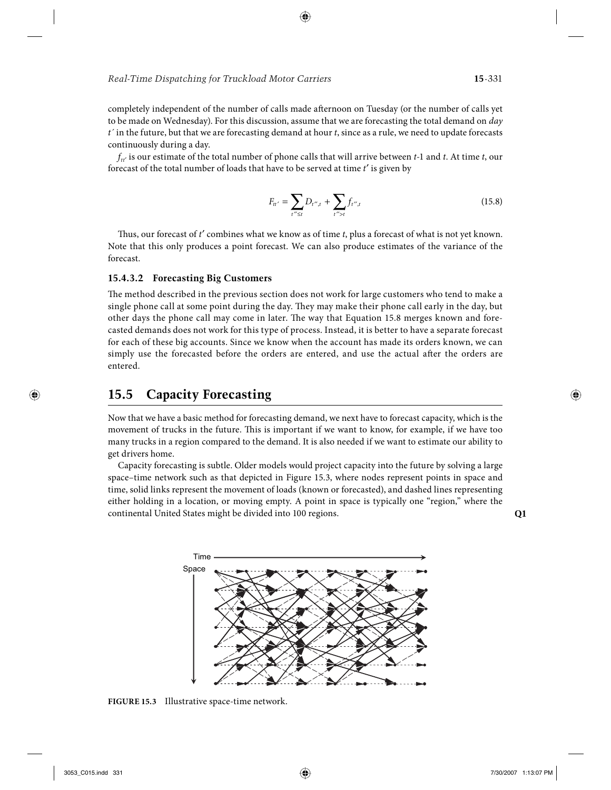completely independent of the number of calls made aft ernoon on Tuesday (or the number of calls yet to be made on Wednesday). For this discussion, assume that we are forecasting the total demand on day  $t'$  in the future, but that we are forecasting demand at hour  $t$ , since as a rule, we need to update forecasts continuously during a day.

⊕

 $f_{tt'}$  is our estimate of the total number of phone calls that will arrive between  $t$ -1 and  $t$ . At time  $t$ , our forecast of the total number of loads that have to be served at time  $t'$  is given by

$$
F_{tt'} = \sum_{t'' \leq t} D_{t'',t} + \sum_{t''>t} f_{t'',t}
$$
\n(15.8)

Thus, our forecast of  $t'$  combines what we know as of time  $t$ , plus a forecast of what is not yet known. Note that this only produces a point forecast. We can also produce estimates of the variance of the forecast.

## **15.4.3.2 Forecasting Big Customers**

The method described in the previous section does not work for large customers who tend to make a single phone call at some point during the day. They may make their phone call early in the day, but other days the phone call may come in later. The way that Equation 15.8 merges known and forecasted demands does not work for this type of process. Instead, it is better to have a separate forecast for each of these big accounts. Since we know when the account has made its orders known, we can simply use the forecasted before the orders are entered, and use the actual after the orders are entered.

# **15.5 Capacity Forecasting**

Now that we have a basic method for forecasting demand, we next have to forecast capacity, which is the movement of trucks in the future. This is important if we want to know, for example, if we have too many trucks in a region compared to the demand. It is also needed if we want to estimate our ability to get drivers home.

Capacity forecasting is subtle. Older models would project capacity into the future by solving a large space–time network such as that depicted in Figure 15.3, where nodes represent points in space and time, solid links represent the movement of loads (known or forecasted), and dashed lines representing either holding in a location, or moving empty. A point in space is typically one "region," where the continental United States might be divided into 100 regions.

**Q1**

⊕



**FIGURE 15.3** Illustrative space-time network.

⊕

3053\_C015.indd 331 7/30/2007 1:13:07 PM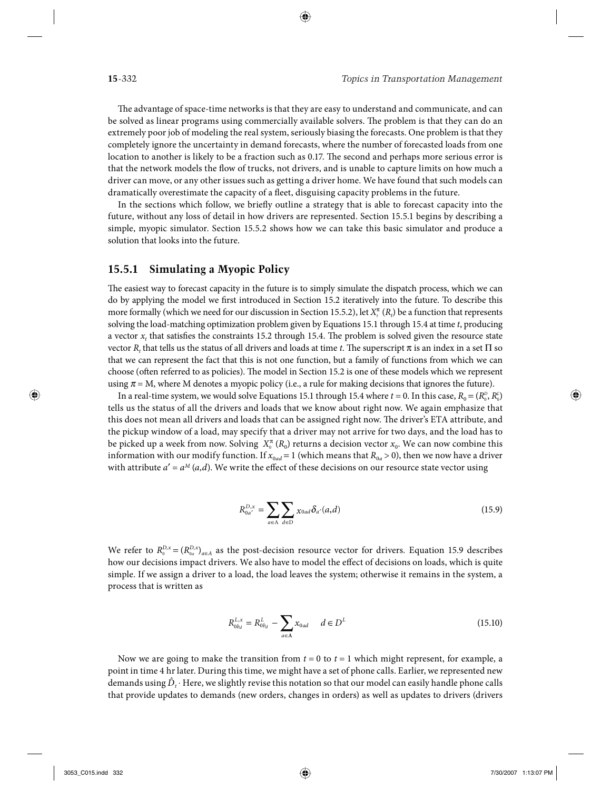The advantage of space-time networks is that they are easy to understand and communicate, and can be solved as linear programs using commercially available solvers. The problem is that they can do an extremely poor job of modeling the real system, seriously biasing the forecasts. One problem is that they completely ignore the uncertainty in demand forecasts, where the number of forecasted loads from one location to another is likely to be a fraction such as 0.17. The second and perhaps more serious error is that the network models the flow of trucks, not drivers, and is unable to capture limits on how much a driver can move, or any other issues such as getting a driver home. We have found that such models can dramatically overestimate the capacity of a fleet, disguising capacity problems in the future.

⊕

In the sections which follow, we briefly outline a strategy that is able to forecast capacity into the future, without any loss of detail in how drivers are represented. Section 15.5.1 begins by describing a simple, myopic simulator. Section 15.5.2 shows how we can take this basic simulator and produce a solution that looks into the future.

## **15.5.1 Simulating a Myopic Policy**

The easiest way to forecast capacity in the future is to simply simulate the dispatch process, which we can do by applying the model we first introduced in Section 15.2 iteratively into the future. To describe this more formally (which we need for our discussion in Section 15.5.2), let  $X_t^{\pi}(R_t)$  be a function that represents solving the load-matching optimization problem given by Equations 15.1 through 15.4 at time t, producing a vector  $x_t$  that satisfies the constraints 15.2 through 15.4. The problem is solved given the resource state vector  $R_t$  that tells us the status of all drivers and loads at time t. The superscript  $\pi$  is an index in a set  $\Pi$  so that we can represent the fact that this is not one function, but a family of functions from which we can choose (often referred to as policies). The model in Section 15.2 is one of these models which we represent using  $\pi$  = M, where M denotes a myopic policy (i.e., a rule for making decisions that ignores the future).

In a real-time system, we would solve Equations 15.1 through 15.4 where  $t = 0$ . In this case,  $R_0 = (R_0^p, R_0^L)$ tells us the status of all the drivers and loads that we know about right now. We again emphasize that this does not mean all drivers and loads that can be assigned right now. The driver's ETA attribute, and the pickup window of a load, may specify that a driver may not arrive for two days, and the load has to be picked up a week from now. Solving  $X_0^{\pi}(R_0)$  returns a decision vector  $x_0$ . We can now combine this information with our modify function. If  $x_{0a} = 1$  (which means that  $R_{0a} > 0$ ), then we now have a driver with attribute  $a' = a^M(a,d)$ . We write the effect of these decisions on our resource state vector using

$$
R_{0a'}^{D,x} = \sum_{a \in A} \sum_{d \in D} x_{0ad} \delta_{a'}(a,d)
$$
\n(15.9)

We refer to  $R_0^{D,x} = (R_{0a}^{D,x})_{a \in A}$  as the post-decision resource vector for drivers. Equation 15.9 describes how our decisions impact drivers. We also have to model the effect of decisions on loads, which is quite simple. If we assign a driver to a load, the load leaves the system; otherwise it remains in the system, a process that is written as

$$
R_{0b_d}^{L,x} = R_{0b_d}^L - \sum_{a \in A} x_{0ad} \qquad d \in D^L
$$
 (15.10)

Now we are going to make the transition from  $t = 0$  to  $t = 1$  which might represent, for example, a point in time 4 hr later. During this time, we might have a set of phone calls. Earlier, we represented new demands using  $\hat{D}_t \cdot$  Here, we slightly revise this notation so that our model can easily handle phone calls that provide updates to demands (new orders, changes in orders) as well as updates to drivers (drivers

⊕

3053\_C015.indd 332 7/30/2007 1:13:07 PM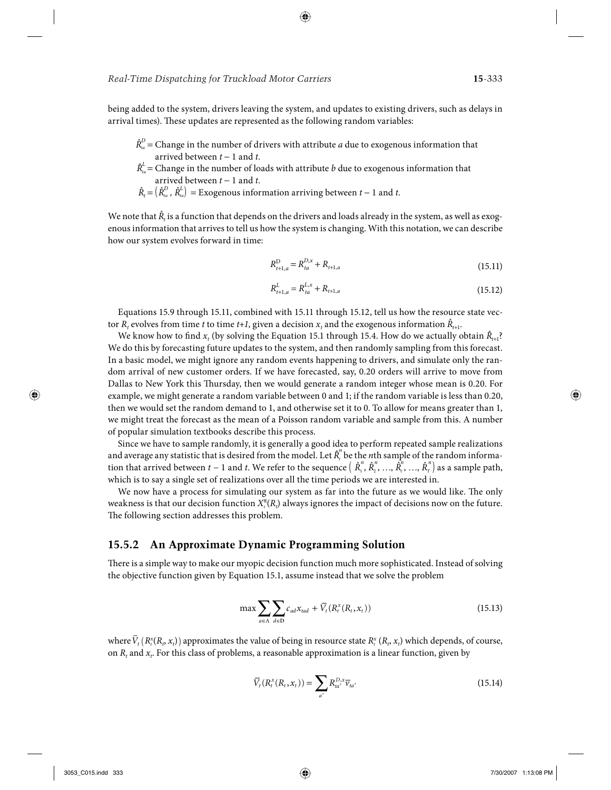being added to the system, drivers leaving the system, and updates to existing drivers, such as delays in arrival times). These updates are represented as the following random variables:

⊕

- $\hat{R}_{la}^D$  = Change in the number of drivers with attribute  $a$  due to exogenous information that arrived between  $t - 1$  and  $t$ .
- $\hat{R}_{ha}^L$  = Change in the number of loads with attribute  $b$  due to exogenous information that arrived between  $t - 1$  and  $t$ .
- $\hat{R}_t = \left(\hat{R}_{ia}^D, \hat{R}_{ia}^L\right) =$  Exogenous information arriving between  $t 1$  and  $t$ .

We note that  $\hat R_t$  is a function that depends on the drivers and loads already in the system, as well as exogenous information that arrives to tell us how the system is changing. With this notation, we can describe how our system evolves forward in time:

$$
R_{t+1,a}^D = R_{ta}^{D,x} + R_{t+1,a}
$$
\n(15.11)

$$
R_{t+1,a}^L = R_{ta}^{L,x} + R_{t+1,a}
$$
\n(15.11)

Equations 15.9 through 15.11, combined with 15.11 through 15.12, tell us how the resource state vector  $R_t$  evolves from time  $t$  to time  $t$ +1, given a decision  $x_t$  and the exogenous information  $\hat{R}_{t\!+\!1}$ .

We know how to find  $x_t$  (by solving the Equation 15.1 through 15.4. How do we actually obtain  $\hat{R}_{t+1}$ ? We do this by forecasting future updates to the system, and then randomly sampling from this forecast. In a basic model, we might ignore any random events happening to drivers, and simulate only the random arrival of new customer orders. If we have forecasted, say, 0.20 orders will arrive to move from Dallas to New York this Thursday, then we would generate a random integer whose mean is 0.20. For example, we might generate a random variable between 0 and 1; if the random variable is less than 0.20, then we would set the random demand to 1, and otherwise set it to 0. To allow for means greater than 1, we might treat the forecast as the mean of a Poisson random variable and sample from this. A number of popular simulation textbooks describe this process.

Since we have to sample randomly, it is generally a good idea to perform repeated sample realizations and average any statistic that is desired from the model. Let  $\hat{R}^{\prime}_{\epsilon}$  $\int_{t}^{n}$  be the *n*th sample of the random information that arrived between  $t$  – 1 and  $t.$  We refer to the sequence  $\left(\right. \not\!\hat{R}^{\prime}_{\rm i}$  $\sum_{1}^{n}$ ,  $\hat{R}'_2$  $\hat{R}_1^n$ , ...,  $\hat{R}_1^n$  $\hat{R}_1^n$ , ...,  $\hat{R}_1^n$  $\binom{n}{r}$  as a sample path, which is to say a single set of realizations over all the time periods we are interested in.

We now have a process for simulating our system as far into the future as we would like. The only weakness is that our decision function  $X_t^{\pi}(R_t)$  always ignores the impact of decisions now on the future. The following section addresses this problem.

## **15.5.2 An Approximate Dynamic Programming Solution**

There is a simple way to make our myopic decision function much more sophisticated. Instead of solving the objective function given by Equation 15.1, assume instead that we solve the problem

$$
\max \sum_{a \in \Lambda} \sum_{d \in D} c_{ad} x_{tad} + \overline{V}_t (R_t^x(R_t, x_t))
$$
\n(15.13)

where  $\bar{V}_t(R_t^x(R_t, x_t))$  approximates the value of being in resource state  $R_t^x(R_t, x_t)$  which depends, of course, on  $R_t$  and  $x_t$ . For this class of problems, a reasonable approximation is a linear function, given by

$$
\overline{V}_t(R_t^x(R_t, x_t)) = \sum_{a'} R_{aa'}^{D,x} \overline{v}_{ta'} \tag{15.14}
$$

⊕

3053\_C015.indd 333 7/30/2007 1:13:08 PM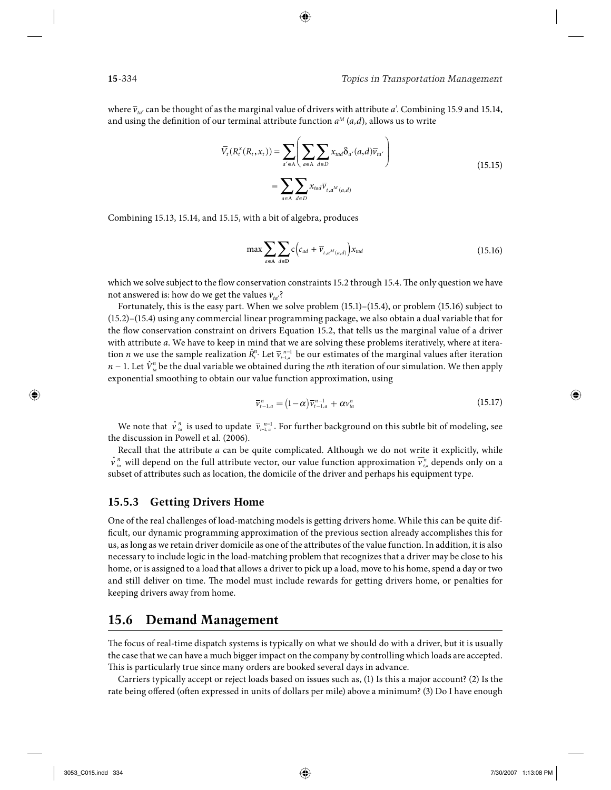where  $\overline{v}_{ta'}$  can be thought of as the marginal value of drivers with attribute  $a'$ . Combining 15.9 and 15.14, and using the definition of our terminal attribute function  $a^M(a,d)$ , allows us to write

⊕

$$
\overline{V}_{t}(R_{t}^{x}(R_{t}, x_{t})) = \sum_{a' \in \Lambda} \left( \sum_{a \in \Lambda} \sum_{d \in D} x_{tad} \delta_{a'}(a, d) \overline{v}_{ta'} \right)
$$
\n
$$
= \sum_{a \in \Lambda} \sum_{d \in D} x_{tad} \overline{v}_{t,a^{M}(a, d)} \qquad (15.15)
$$

Combining 15.13, 15.14, and 15.15, with a bit of algebra, produces

$$
\max \sum_{a \in A} \sum_{d \in D} c \Big( c_{ad} + \overline{\nu}_{t, a^M(a, d)} \Big) x_{tad} \tag{15.16}
$$

which we solve subject to the flow conservation constraints 15.2 through 15.4. The only question we have not answered is: how do we get the values  $\bar{v}_{ta'}$ ?

Fortunately, this is the easy part. When we solve problem (15.1)–(15.4), or problem (15.16) subject to (15.2)–(15.4) using any commercial linear programming package, we also obtain a dual variable that for the flow conservation constraint on drivers Equation 15.2, that tells us the marginal value of a driver with attribute a. We have to keep in mind that we are solving these problems iteratively, where at iteration *n* we use the sample realization  $\hat{R}_i^n$ . Let  $\bar{v}_{n,a}^{n-1}$  be our estimates of the marginal values after iteration  $n-1$ . Let  $\hat{V}_n^n$  be the dual variable we obtained during the *n*th iteration of our simulation. We then apply exponential smoothing to obtain our value function approximation, using

$$
\overline{\mathbf{v}}_{t-1,a}^n = (1-\alpha)\overline{\mathbf{v}}_{t-1,a}^{n-1} + \alpha \mathbf{v}_{ta}^n \tag{15.17}
$$

We note that  $\hat{v}^n_{\frac{1}{\mu}}$  is used to update  $\bar{v}^{n-1}_{\frac{1}{\mu},n}$ . For further background on this subtle bit of modeling, see the discussion in Powell et al. (2006).

Recall that the attribute a can be quite complicated. Although we do not write it explicitly, while  $\hat{v}_u^n$  will depend on the full attribute vector, our value function approximation  $\overline{v}_u^n$  depends only on a subset of attributes such as location, the domicile of the driver and perhaps his equipment type.

## **15.5.3 Getting Drivers Home**

One of the real challenges of load-matching models is getting drivers home. While this can be quite difficult, our dynamic programming approximation of the previous section already accomplishes this for us, as long as we retain driver domicile as one of the attributes of the value function. In addition, it is also necessary to include logic in the load-matching problem that recognizes that a driver may be close to his home, or is assigned to a load that allows a driver to pick up a load, move to his home, spend a day or two and still deliver on time. The model must include rewards for getting drivers home, or penalties for keeping drivers away from home.

# **15.6 Demand Management**

The focus of real-time dispatch systems is typically on what we should do with a driver, but it is usually the case that we can have a much bigger impact on the company by controlling which loads are accepted. This is particularly true since many orders are booked several days in advance.

Carriers typically accept or reject loads based on issues such as, (1) Is this a major account? (2) Is the rate being offered (often expressed in units of dollars per mile) above a minimum? (3) Do I have enough

 $\bigoplus$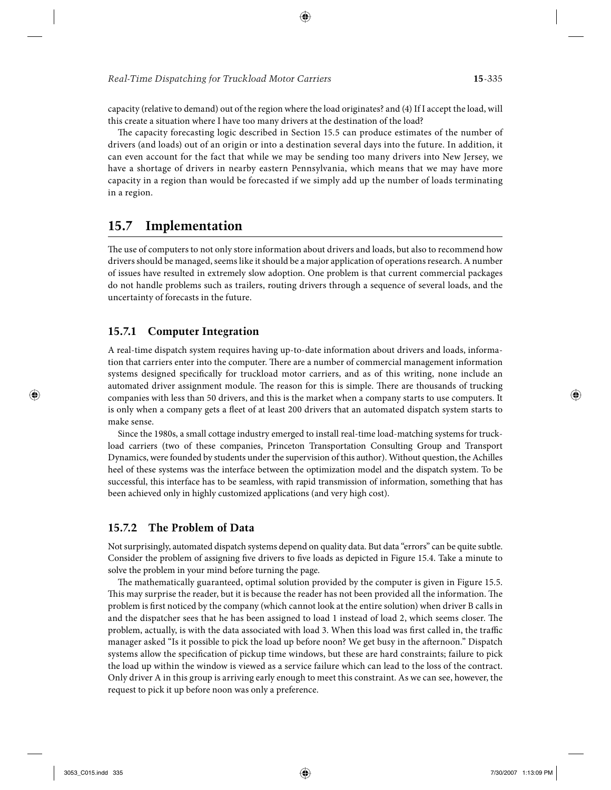#### *Real-Time Dispatching for Truckload Motor Carriers* **15***-*335

capacity (relative to demand) out of the region where the load originates? and (4) If I accept the load, will this create a situation where I have too many drivers at the destination of the load?

⊕

The capacity forecasting logic described in Section 15.5 can produce estimates of the number of drivers (and loads) out of an origin or into a destination several days into the future. In addition, it can even account for the fact that while we may be sending too many drivers into New Jersey, we have a shortage of drivers in nearby eastern Pennsylvania, which means that we may have more capacity in a region than would be forecasted if we simply add up the number of loads terminating in a region.

# **15.7 Implementation**

The use of computers to not only store information about drivers and loads, but also to recommend how drivers should be managed, seems like it should be a major application of operations research. A number of issues have resulted in extremely slow adoption. One problem is that current commercial packages do not handle problems such as trailers, routing drivers through a sequence of several loads, and the uncertainty of forecasts in the future.

## **15.7.1 Computer Integration**

A real-time dispatch system requires having up-to-date information about drivers and loads, information that carriers enter into the computer. There are a number of commercial management information systems designed specifically for truckload motor carriers, and as of this writing, none include an automated driver assignment module. The reason for this is simple. There are thousands of trucking companies with less than 50 drivers, and this is the market when a company starts to use computers. It is only when a company gets a fleet of at least 200 drivers that an automated dispatch system starts to make sense.

Since the 1980s, a small cottage industry emerged to install real-time load-matching systems for truckload carriers (two of these companies, Princeton Transportation Consulting Group and Transport Dynamics, were founded by students under the supervision of this author). Without question, the Achilles heel of these systems was the interface between the optimization model and the dispatch system. To be successful, this interface has to be seamless, with rapid transmission of information, something that has been achieved only in highly customized applications (and very high cost).

## **15.7.2 The Problem of Data**

Not surprisingly, automated dispatch systems depend on quality data. But data "errors" can be quite subtle. Consider the problem of assigning five drivers to five loads as depicted in Figure 15.4. Take a minute to solve the problem in your mind before turning the page.

The mathematically guaranteed, optimal solution provided by the computer is given in Figure 15.5. This may surprise the reader, but it is because the reader has not been provided all the information. The problem is first noticed by the company (which cannot look at the entire solution) when driver B calls in and the dispatcher sees that he has been assigned to load 1 instead of load 2, which seems closer. The problem, actually, is with the data associated with load 3. When this load was first called in, the traffic manager asked "Is it possible to pick the load up before noon? We get busy in the afternoon." Dispatch systems allow the specification of pickup time windows, but these are hard constraints; failure to pick the load up within the window is viewed as a service failure which can lead to the loss of the contract. Only driver A in this group is arriving early enough to meet this constraint. As we can see, however, the request to pick it up before noon was only a preference.

 $\bigoplus$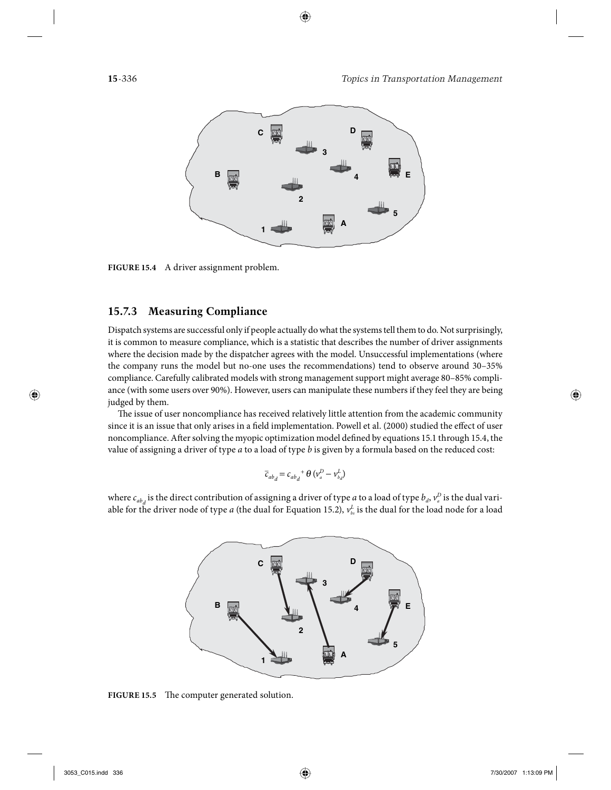$\bigoplus$ 

**15***-*336 *Topics in Transportation Management*



**FIGURE 15.4** A driver assignment problem.

## **15.7.3 Measuring Compliance**

Dispatch systems are successful only if people actually do what the systems tell them to do. Not surprisingly, it is common to measure compliance, which is a statistic that describes the number of driver assignments where the decision made by the dispatcher agrees with the model. Unsuccessful implementations (where the company runs the model but no-one uses the recommendations) tend to observe around 30–35% compliance. Carefully calibrated models with strong management support might average 80–85% compliance (with some users over 90%). However, users can manipulate these numbers if they feel they are being judged by them.

The issue of user noncompliance has received relatively little attention from the academic community since it is an issue that only arises in a field implementation. Powell et al. (2000) studied the effect of user noncompliance. After solving the myopic optimization model defined by equations 15.1 through 15.4, the value of assigning a driver of type a to a load of type b is given by a formula based on the reduced cost:

 $\overline{c}_{ab_d} = c_{ab_d}^{\ \ \ \ \ \ \ \theta} \left( v_a^D - v_{bd}^L \right)$ 

where  $c_{ab_d}$  is the direct contribution of assigning a driver of type a to a load of type  $b_d$ ,  $v_a^D$  is the dual variable for the driver node of type a (the dual for Equation 15.2),  $v_k^L$  is the dual for the load node for a load



**FIGURE 15.5** The computer generated solution.

 $\bigoplus$ 

 $\bigoplus$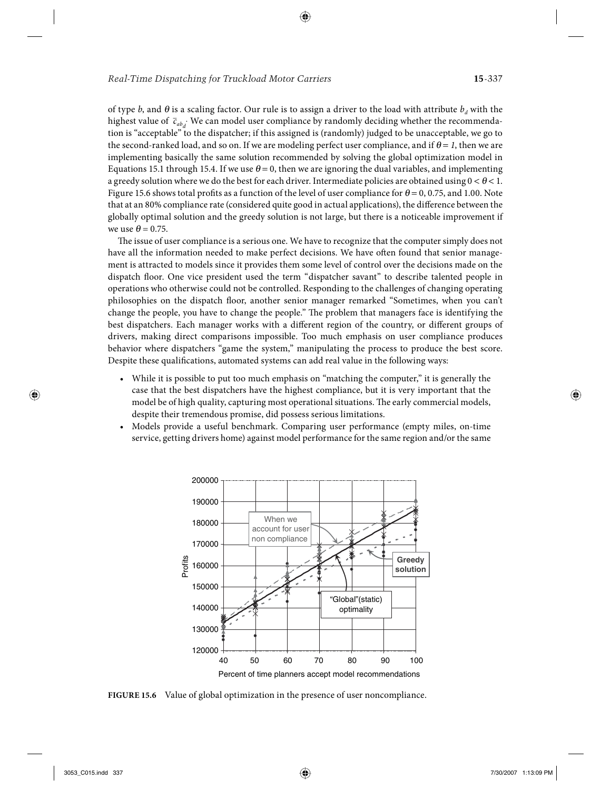### *Real-Time Dispatching for Truckload Motor Carriers* **15***-*337

of type b, and  $\theta$  is a scaling factor. Our rule is to assign a driver to the load with attribute  $b_d$  with the highest value of  $\bar{c}_{ab_d}$ . We can model user compliance by randomly deciding whether the recommendation is "acceptable" to the dispatcher; if this assigned is (randomly) judged to be unacceptable, we go to the second-ranked load, and so on. If we are modeling perfect user compliance, and if  $\theta = 1$ , then we are implementing basically the same solution recommended by solving the global optimization model in Equations 15.1 through 15.4. If we use  $\theta = 0$ , then we are ignoring the dual variables, and implementing a greedy solution where we do the best for each driver. Intermediate policies are obtained using  $0 < \theta < 1$ . Figure 15.6 shows total profits as a function of the level of user compliance for  $\theta = 0$ , 0.75, and 1.00. Note that at an 80% compliance rate (considered quite good in actual applications), the difference between the globally optimal solution and the greedy solution is not large, but there is a noticeable improvement if we use  $\theta$  = 0.75.

 $\bigcirc$ 

The issue of user compliance is a serious one. We have to recognize that the computer simply does not have all the information needed to make perfect decisions. We have often found that senior management is attracted to models since it provides them some level of control over the decisions made on the dispatch floor. One vice president used the term "dispatcher savant" to describe talented people in operations who otherwise could not be controlled. Responding to the challenges of changing operating philosophies on the dispatch floor, another senior manager remarked "Sometimes, when you can't change the people, you have to change the people." The problem that managers face is identifying the best dispatchers. Each manager works with a different region of the country, or different groups of drivers, making direct comparisons impossible. Too much emphasis on user compliance produces behavior where dispatchers "game the system," manipulating the process to produce the best score. Despite these qualifications, automated systems can add real value in the following ways:

- While it is possible to put too much emphasis on "matching the computer," it is generally the case that the best dispatchers have the highest compliance, but it is very important that the model be of high quality, capturing most operational situations. The early commercial models, despite their tremendous promise, did possess serious limitations. •
- Models provide a useful benchmark. Comparing user performance (empty miles, on-time service, getting drivers home) against model performance for the same region and/or the same •



**FIGURE 15.6** Value of global optimization in the presence of user noncompliance.

 $\bigoplus$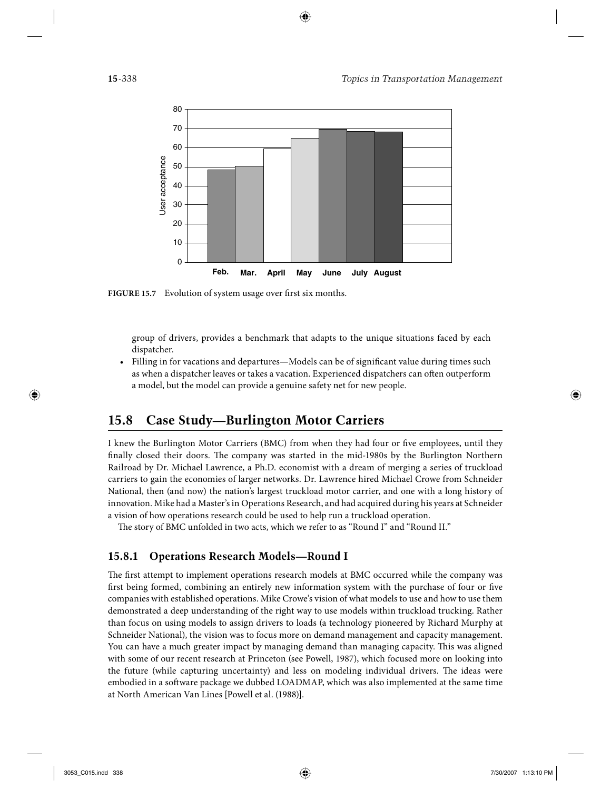

 $\bigcirc$ 

**FIGURE 15.7** Evolution of system usage over first six months.

group of drivers, provides a benchmark that adapts to the unique situations faced by each dispatcher.

• Filling in for vacations and departures—Models can be of significant value during times such as when a dispatcher leaves or takes a vacation. Experienced dispatchers can often outperform a model, but the model can provide a genuine safety net for new people.

## **15.8 Case Study—Burlington Motor Carriers**

I knew the Burlington Motor Carriers (BMC) from when they had four or five employees, until they finally closed their doors. The company was started in the mid-1980s by the Burlington Northern Railroad by Dr. Michael Lawrence, a Ph.D. economist with a dream of merging a series of truckload carriers to gain the economies of larger networks. Dr. Lawrence hired Michael Crowe from Schneider National, then (and now) the nation's largest truckload motor carrier, and one with a long history of innovation. Mike had a Master's in Operations Research, and had acquired during his years at Schneider a vision of how operations research could be used to help run a truckload operation.

The story of BMC unfolded in two acts, which we refer to as "Round I" and "Round II."

## **15.8.1 Operations Research Models—Round I**

The first attempt to implement operations research models at BMC occurred while the company was first being formed, combining an entirely new information system with the purchase of four or five companies with established operations. Mike Crowe's vision of what models to use and how to use them demonstrated a deep understanding of the right way to use models within truckload trucking. Rather than focus on using models to assign drivers to loads (a technology pioneered by Richard Murphy at Schneider National), the vision was to focus more on demand management and capacity management. You can have a much greater impact by managing demand than managing capacity. This was aligned with some of our recent research at Princeton (see Powell, 1987), which focused more on looking into the future (while capturing uncertainty) and less on modeling individual drivers. The ideas were embodied in a software package we dubbed LOADMAP, which was also implemented at the same time at North American Van Lines [Powell et al. (1988)].

 $\bigoplus$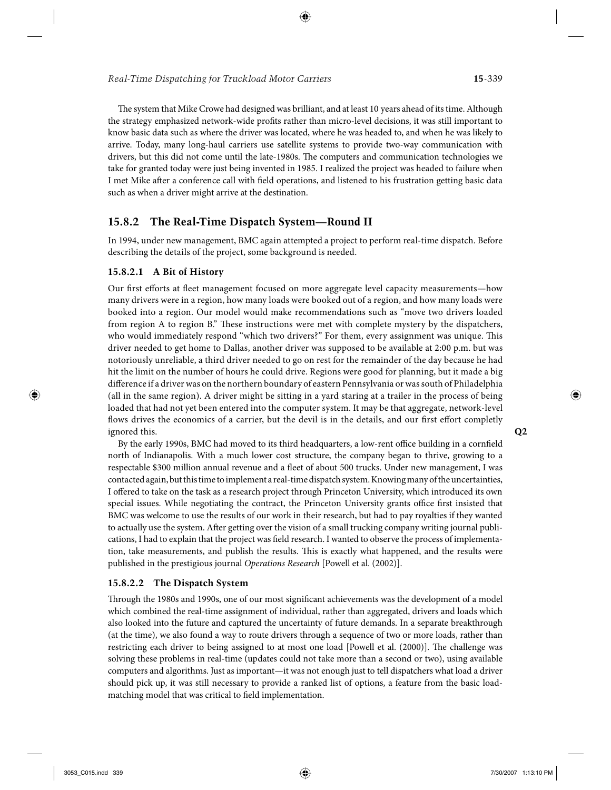The system that Mike Crowe had designed was brilliant, and at least 10 years ahead of its time. Although the strategy emphasized network-wide profits rather than micro-level decisions, it was still important to know basic data such as where the driver was located, where he was headed to, and when he was likely to arrive. Today, many long-haul carriers use satellite systems to provide two-way communication with drivers, but this did not come until the late-1980s. The computers and communication technologies we take for granted today were just being invented in 1985. I realized the project was headed to failure when I met Mike after a conference call with field operations, and listened to his frustration getting basic data such as when a driver might arrive at the destination.

⊕

## **15.8.2 The Real-Time Dispatch System—Round II**

In 1994, under new management, BMC again attempted a project to perform real-time dispatch. Before describing the details of the project, some background is needed.

#### **15.8.2.1 A Bit of History**

Our first efforts at fleet management focused on more aggregate level capacity measurements—how many drivers were in a region, how many loads were booked out of a region, and how many loads were booked into a region. Our model would make recommendations such as "move two drivers loaded from region A to region B." These instructions were met with complete mystery by the dispatchers, who would immediately respond "which two drivers?" For them, every assignment was unique. This driver needed to get home to Dallas, another driver was supposed to be available at 2:00 p.m. but was notoriously unreliable, a third driver needed to go on rest for the remainder of the day because he had hit the limit on the number of hours he could drive. Regions were good for planning, but it made a big difference if a driver was on the northern boundary of eastern Pennsylvania or was south of Philadelphia (all in the same region). A driver might be sitting in a yard staring at a trailer in the process of being loaded that had not yet been entered into the computer system. It may be that aggregate, network-level flows drives the economics of a carrier, but the devil is in the details, and our first effort completly ignored this.

By the early 1990s, BMC had moved to its third headquarters, a low-rent office building in a cornfield north of Indianapolis. With a much lower cost structure, the company began to thrive, growing to a respectable \$300 million annual revenue and a fleet of about 500 trucks. Under new management, I was contacted again, but this time to implement a real-time dispatch system. Knowing many of the uncertainties, I offered to take on the task as a research project through Princeton University, which introduced its own special issues. While negotiating the contract, the Princeton University grants office first insisted that BMC was welcome to use the results of our work in their research, but had to pay royalties if they wanted to actually use the system. After getting over the vision of a small trucking company writing journal publications, I had to explain that the project was field research. I wanted to observe the process of implementation, take measurements, and publish the results. This is exactly what happened, and the results were published in the prestigious journal Operations Research [Powell et al. (2002)].

#### **15.8.2.2 The Dispatch System**

Through the 1980s and 1990s, one of our most significant achievements was the development of a model which combined the real-time assignment of individual, rather than aggregated, drivers and loads which also looked into the future and captured the uncertainty of future demands. In a separate breakthrough (at the time), we also found a way to route drivers through a sequence of two or more loads, rather than restricting each driver to being assigned to at most one load [Powell et al. (2000)]. The challenge was solving these problems in real-time (updates could not take more than a second or two), using available computers and algorithms. Just as important—it was not enough just to tell dispatchers what load a driver should pick up, it was still necessary to provide a ranked list of options, a feature from the basic loadmatching model that was critical to field implementation.

⊕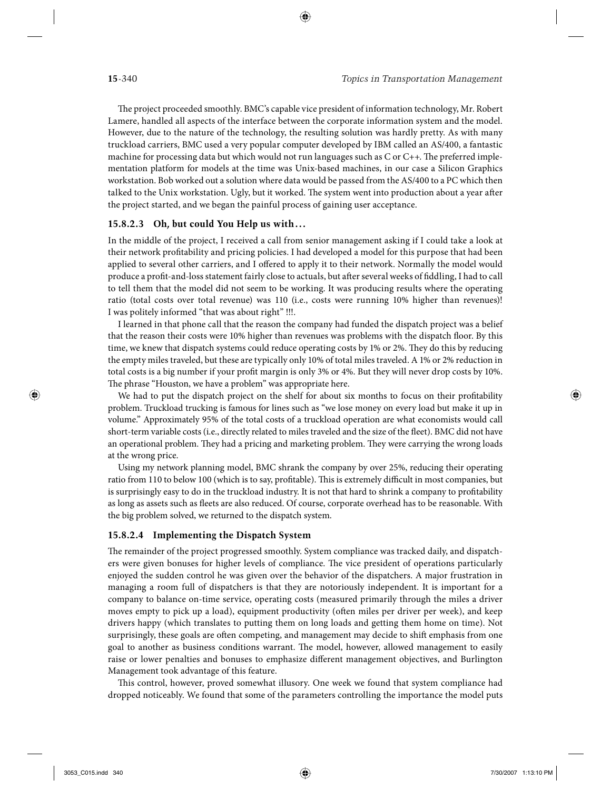The project proceeded smoothly. BMC's capable vice president of information technology, Mr. Robert Lamere, handled all aspects of the interface between the corporate information system and the model. However, due to the nature of the technology, the resulting solution was hardly pretty. As with many truckload carriers, BMC used a very popular computer developed by IBM called an AS/400, a fantastic machine for processing data but which would not run languages such as  $C$  or  $C_{++}$ . The preferred implementation platform for models at the time was Unix-based machines, in our case a Silicon Graphics workstation. Bob worked out a solution where data would be passed from the AS/400 to a PC which then talked to the Unix workstation. Ugly, but it worked. The system went into production about a year after the project started, and we began the painful process of gaining user acceptance.

⊕

#### **15.8.2.3 Oh, but could You Help us with . . .**

In the middle of the project, I received a call from senior management asking if I could take a look at their network profitability and pricing policies. I had developed a model for this purpose that had been applied to several other carriers, and I offered to apply it to their network. Normally the model would produce a profit-and-loss statement fairly close to actuals, but after several weeks of fiddling, I had to call to tell them that the model did not seem to be working. It was producing results where the operating ratio (total costs over total revenue) was 110 (i.e., costs were running 10% higher than revenues)! I was politely informed "that was about right" !!!.

I learned in that phone call that the reason the company had funded the dispatch project was a belief that the reason their costs were 10% higher than revenues was problems with the dispatch floor. By this time, we knew that dispatch systems could reduce operating costs by 1% or 2%. They do this by reducing the empty miles traveled, but these are typically only 10% of total miles traveled. A 1% or 2% reduction in total costs is a big number if your profit margin is only 3% or 4%. But they will never drop costs by 10%. The phrase "Houston, we have a problem" was appropriate here.

We had to put the dispatch project on the shelf for about six months to focus on their profitability problem. Truckload trucking is famous for lines such as "we lose money on every load but make it up in volume." Approximately 95% of the total costs of a truckload operation are what economists would call short-term variable costs (i.e., directly related to miles traveled and the size of the fleet). BMC did not have an operational problem. They had a pricing and marketing problem. They were carrying the wrong loads at the wrong price.

Using my network planning model, BMC shrank the company by over 25%, reducing their operating ratio from 110 to below 100 (which is to say, profitable). This is extremely difficult in most companies, but is surprisingly easy to do in the truckload industry. It is not that hard to shrink a company to profitability as long as assets such as fleets are also reduced. Of course, corporate overhead has to be reasonable. With the big problem solved, we returned to the dispatch system.

#### **15.8.2.4 Implementing the Dispatch System**

The remainder of the project progressed smoothly. System compliance was tracked daily, and dispatchers were given bonuses for higher levels of compliance. The vice president of operations particularly enjoyed the sudden control he was given over the behavior of the dispatchers. A major frustration in managing a room full of dispatchers is that they are notoriously independent. It is important for a company to balance on-time service, operating costs (measured primarily through the miles a driver moves empty to pick up a load), equipment productivity (often miles per driver per week), and keep drivers happy (which translates to putting them on long loads and getting them home on time). Not surprisingly, these goals are often competing, and management may decide to shift emphasis from one goal to another as business conditions warrant. The model, however, allowed management to easily raise or lower penalties and bonuses to emphasize different management objectives, and Burlington Management took advantage of this feature.

This control, however, proved somewhat illusory. One week we found that system compliance had dropped noticeably. We found that some of the parameters controlling the importance the model puts

⊕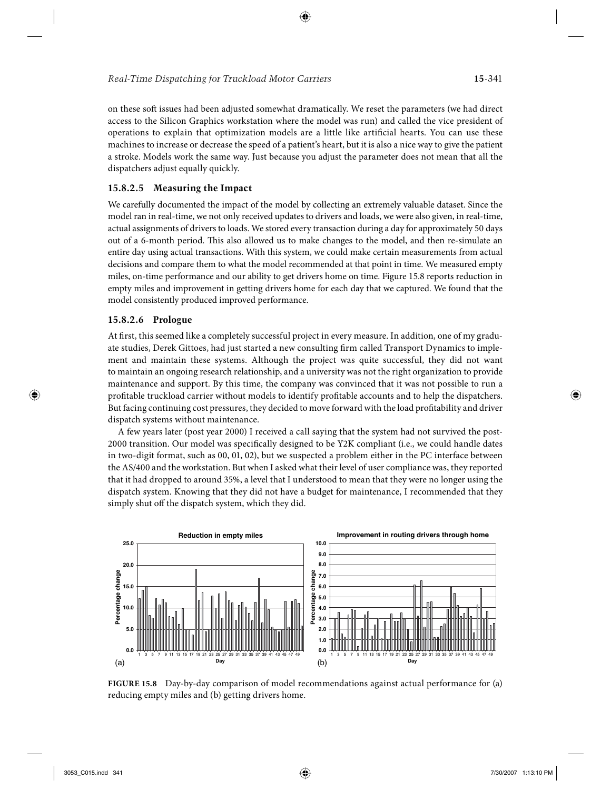on these soft issues had been adjusted somewhat dramatically. We reset the parameters (we had direct access to the Silicon Graphics workstation where the model was run) and called the vice president of operations to explain that optimization models are a little like artificial hearts. You can use these machines to increase or decrease the speed of a patient's heart, but it is also a nice way to give the patient a stroke. Models work the same way. Just because you adjust the parameter does not mean that all the dispatchers adjust equally quickly.

 $\bigcirc$ 

#### **15.8.2.5 Measuring the Impact**

We carefully documented the impact of the model by collecting an extremely valuable dataset. Since the model ran in real-time, we not only received updates to drivers and loads, we were also given, in real-time, actual assignments of drivers to loads. We stored every transaction during a day for approximately 50 days out of a 6-month period. This also allowed us to make changes to the model, and then re-simulate an entire day using actual transactions. With this system, we could make certain measurements from actual decisions and compare them to what the model recommended at that point in time. We measured empty miles, on-time performance and our ability to get drivers home on time. Figure 15.8 reports reduction in empty miles and improvement in getting drivers home for each day that we captured. We found that the model consistently produced improved performance.

#### **15.8.2.6 Prologue**

 $\bigoplus$ 

At first, this seemed like a completely successful project in every measure. In addition, one of my graduate studies, Derek Gittoes, had just started a new consulting firm called Transport Dynamics to implement and maintain these systems. Although the project was quite successful, they did not want to maintain an ongoing research relationship, and a university was not the right organization to provide maintenance and support. By this time, the company was convinced that it was not possible to run a profitable truckload carrier without models to identify profitable accounts and to help the dispatchers. But facing continuing cost pressures, they decided to move forward with the load profitability and driver dispatch systems without maintenance.

A few years later (post year 2000) I received a call saying that the system had not survived the post-2000 transition. Our model was specifically designed to be Y2K compliant (i.e., we could handle dates in two-digit format, such as 00, 01, 02), but we suspected a problem either in the PC interface between the AS/400 and the workstation. But when I asked what their level of user compliance was, they reported that it had dropped to around 35%, a level that I understood to mean that they were no longer using the dispatch system. Knowing that they did not have a budget for maintenance, I recommended that they simply shut off the dispatch system, which they did.



**FIGURE 15.8** Day-by-day comparison of model recommendations against actual performance for (a) reducing empty miles and (b) getting drivers home.